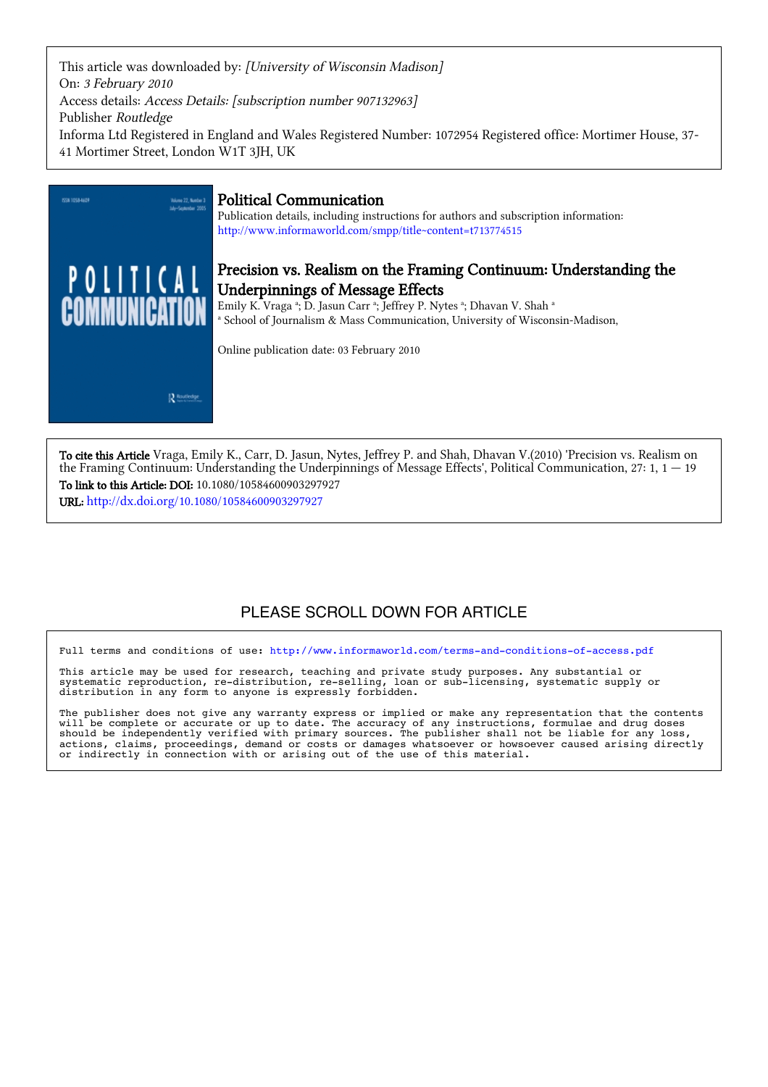This article was downloaded by: [University of Wisconsin Madison] On: 3 February 2010 Access details: Access Details: [subscription number 907132963] Publisher Routledge Informa Ltd Registered in England and Wales Registered Number: 1072954 Registered office: Mortimer House, 37-41 Mortimer Street, London W1T 3JH, UK



# Political Communication

Publication details, including instructions for authors and subscription information: http://www.informaworld.com/smpp/title~content=t713774515

# Precision vs. Realism on the Framing Continuum: Understanding the Underpinnings of Message Effects

Emily K. Vraga <sup>a</sup>; D. Jasun Carr <sup>a</sup>; Jeffrey P. Nytes <sup>a</sup>; Dhavan V. Shah <sup>a</sup> <sup>a</sup> School of Journalism & Mass Communication, University of Wisconsin-Madison,

Online publication date: 03 February 2010

To cite this Article Vraga, Emily K., Carr, D. Jasun, Nytes, Jeffrey P. and Shah, Dhavan V.(2010) 'Precision vs. Realism on the Framing Continuum: Understanding the Underpinnings of Message Effects', Political Communication, 27: 1, 1  $-$  19 To link to this Article: DOI: 10.1080/10584600903297927 URL: http://dx.doi.org/10.1080/10584600903297927

# PLEASE SCROLL DOWN FOR ARTICLE

Full terms and conditions of use:<http://www.informaworld.com/terms-and-conditions-of-access.pdf>

This article may be used for research, teaching and private study purposes. Any substantial or systematic reproduction, re-distribution, re-selling, loan or sub-licensing, systematic supply or distribution in any form to anyone is expressly forbidden.

The publisher does not give any warranty express or implied or make any representation that the contents will be complete or accurate or up to date. The accuracy of any instructions, formulae and drug doses should be independently verified with primary sources. The publisher shall not be liable for any loss, actions, claims, proceedings, demand or costs or damages whatsoever or howsoever caused arising directly or indirectly in connection with or arising out of the use of this material.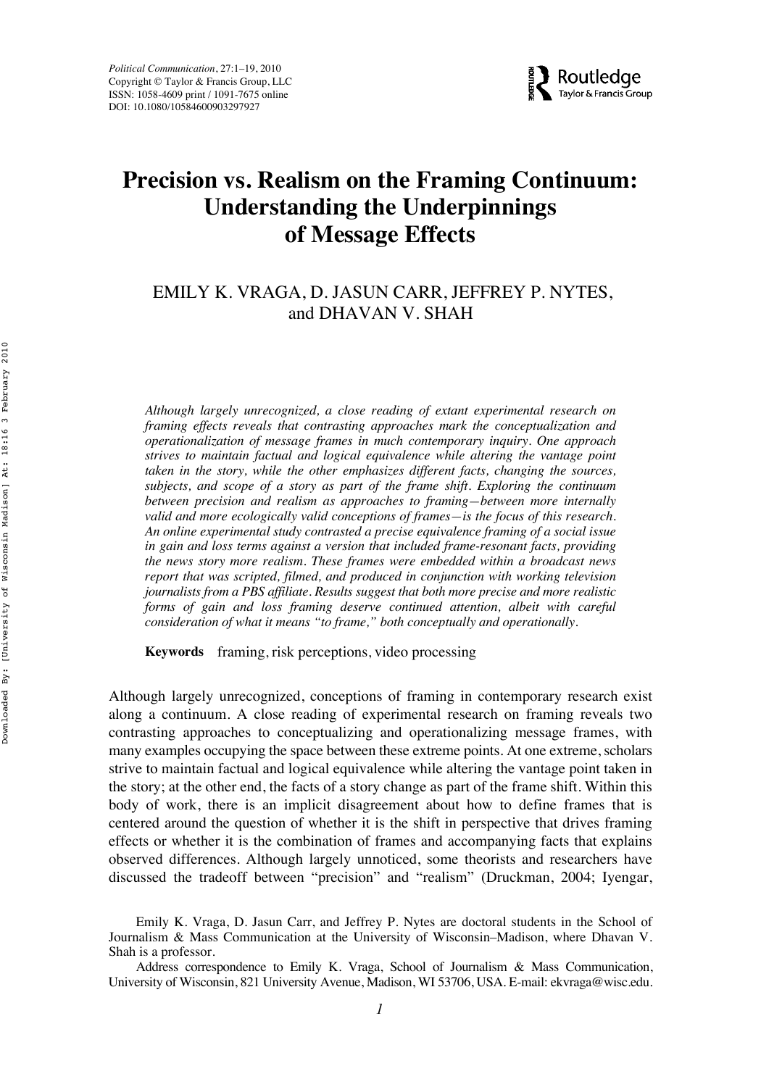*Political Communication*, 27:1–19, 2010 Copyright © Taylor & Francis Group, LLC ISSN: 1058-4609 print / 1091-7675 online DOI: 10.1080/10584600903297927



# **Precision vs. Realism on the Framing Continuum: Understanding the Underpinnings of Message Effects**

# EMILY K. VRAGA, D. JASUN CARR, JEFFREY P. NYTES, and DHAVAN V. SHAH

*Although largely unrecognized, a close reading of extant experimental research on framing effects reveals that contrasting approaches mark the conceptualization and operationalization of message frames in much contemporary inquiry. One approach strives to maintain factual and logical equivalence while altering the vantage point taken in the story, while the other emphasizes different facts, changing the sources, subjects, and scope of a story as part of the frame shift. Exploring the continuum between precision and realism as approaches to framing—between more internally valid and more ecologically valid conceptions of frames—is the focus of this research. An online experimental study contrasted a precise equivalence framing of a social issue in gain and loss terms against a version that included frame-resonant facts, providing the news story more realism. These frames were embedded within a broadcast news report that was scripted, filmed, and produced in conjunction with working television journalists from a PBS affiliate. Results suggest that both more precise and more realistic forms of gain and loss framing deserve continued attention, albeit with careful consideration of what it means "to frame," both conceptually and operationally.*

**Keywords** framing, risk perceptions, video processing

Although largely unrecognized, conceptions of framing in contemporary research exist along a continuum. A close reading of experimental research on framing reveals two contrasting approaches to conceptualizing and operationalizing message frames, with many examples occupying the space between these extreme points. At one extreme, scholars strive to maintain factual and logical equivalence while altering the vantage point taken in the story; at the other end, the facts of a story change as part of the frame shift. Within this body of work, there is an implicit disagreement about how to define frames that is centered around the question of whether it is the shift in perspective that drives framing effects or whether it is the combination of frames and accompanying facts that explains observed differences. Although largely unnoticed, some theorists and researchers have discussed the tradeoff between "precision" and "realism" (Druckman, 2004; Iyengar,

Emily K. Vraga, D. Jasun Carr, and Jeffrey P. Nytes are doctoral students in the School of Journalism & Mass Communication at the University of Wisconsin–Madison, where Dhavan V. Shah is a professor.

Address correspondence to Emily K. Vraga, School of Journalism & Mass Communication, University of Wisconsin, 821 University Avenue, Madison, WI 53706, USA. E-mail: ekvraga@wisc.edu.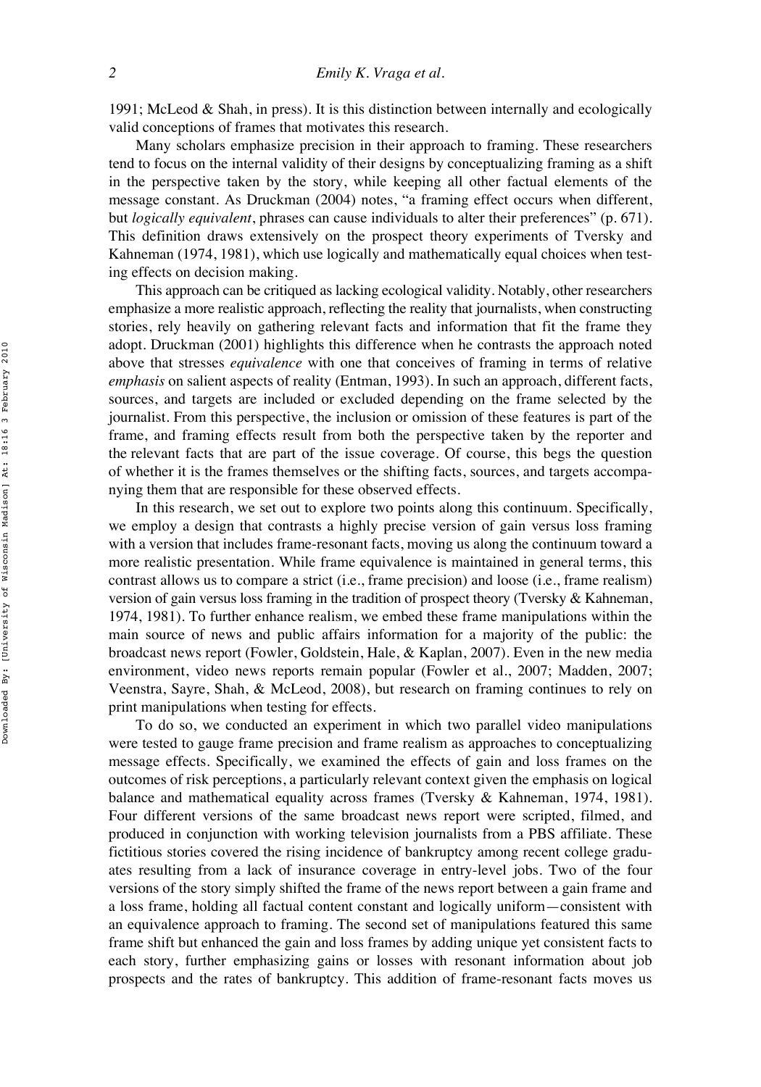1991; McLeod & Shah, in press). It is this distinction between internally and ecologically valid conceptions of frames that motivates this research.

Many scholars emphasize precision in their approach to framing. These researchers tend to focus on the internal validity of their designs by conceptualizing framing as a shift in the perspective taken by the story, while keeping all other factual elements of the message constant. As Druckman (2004) notes, "a framing effect occurs when different, but *logically equivalent*, phrases can cause individuals to alter their preferences" (p. 671). This definition draws extensively on the prospect theory experiments of Tversky and Kahneman (1974, 1981), which use logically and mathematically equal choices when testing effects on decision making.

This approach can be critiqued as lacking ecological validity. Notably, other researchers emphasize a more realistic approach, reflecting the reality that journalists, when constructing stories, rely heavily on gathering relevant facts and information that fit the frame they adopt. Druckman (2001) highlights this difference when he contrasts the approach noted above that stresses *equivalence* with one that conceives of framing in terms of relative *emphasis* on salient aspects of reality (Entman, 1993). In such an approach, different facts, sources, and targets are included or excluded depending on the frame selected by the journalist. From this perspective, the inclusion or omission of these features is part of the frame, and framing effects result from both the perspective taken by the reporter and the relevant facts that are part of the issue coverage. Of course, this begs the question of whether it is the frames themselves or the shifting facts, sources, and targets accompanying them that are responsible for these observed effects.

In this research, we set out to explore two points along this continuum. Specifically, we employ a design that contrasts a highly precise version of gain versus loss framing with a version that includes frame-resonant facts, moving us along the continuum toward a more realistic presentation. While frame equivalence is maintained in general terms, this contrast allows us to compare a strict (i.e., frame precision) and loose (i.e., frame realism) version of gain versus loss framing in the tradition of prospect theory (Tversky & Kahneman, 1974, 1981). To further enhance realism, we embed these frame manipulations within the main source of news and public affairs information for a majority of the public: the broadcast news report (Fowler, Goldstein, Hale, & Kaplan, 2007). Even in the new media environment, video news reports remain popular (Fowler et al., 2007; Madden, 2007; Veenstra, Sayre, Shah, & McLeod, 2008), but research on framing continues to rely on print manipulations when testing for effects.

To do so, we conducted an experiment in which two parallel video manipulations were tested to gauge frame precision and frame realism as approaches to conceptualizing message effects. Specifically, we examined the effects of gain and loss frames on the outcomes of risk perceptions, a particularly relevant context given the emphasis on logical balance and mathematical equality across frames (Tversky & Kahneman, 1974, 1981). Four different versions of the same broadcast news report were scripted, filmed, and produced in conjunction with working television journalists from a PBS affiliate. These fictitious stories covered the rising incidence of bankruptcy among recent college graduates resulting from a lack of insurance coverage in entry-level jobs. Two of the four versions of the story simply shifted the frame of the news report between a gain frame and a loss frame, holding all factual content constant and logically uniform—consistent with an equivalence approach to framing. The second set of manipulations featured this same frame shift but enhanced the gain and loss frames by adding unique yet consistent facts to each story, further emphasizing gains or losses with resonant information about job prospects and the rates of bankruptcy. This addition of frame-resonant facts moves us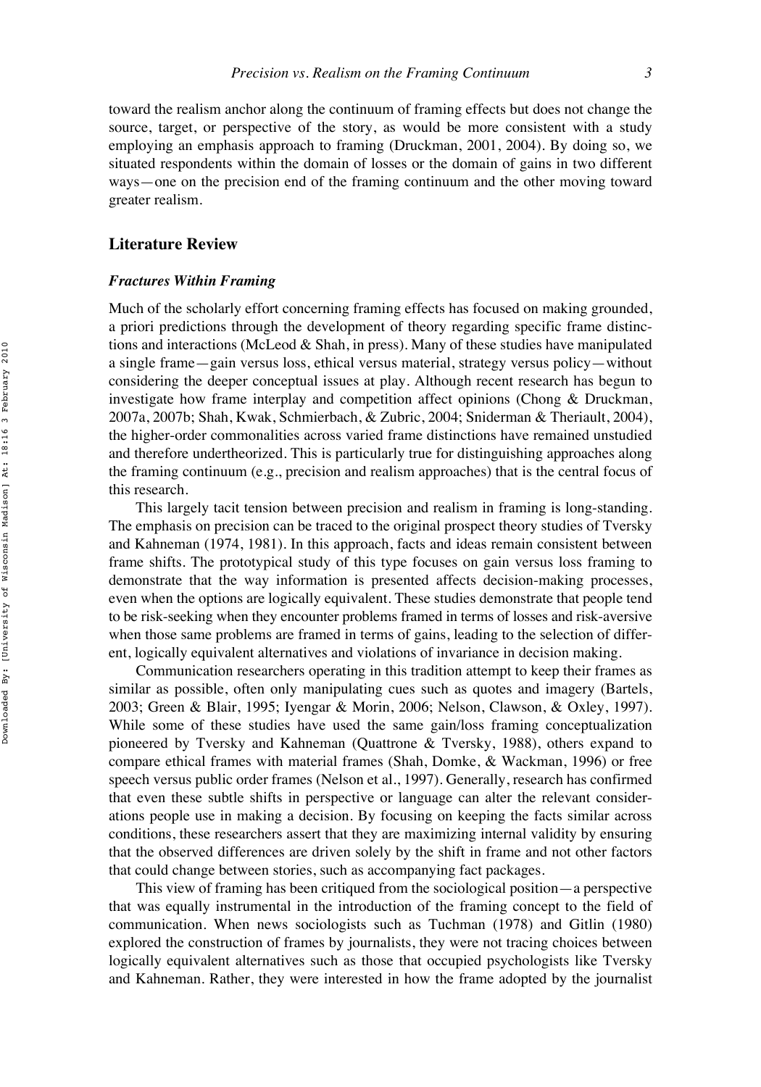toward the realism anchor along the continuum of framing effects but does not change the source, target, or perspective of the story, as would be more consistent with a study employing an emphasis approach to framing (Druckman, 2001, 2004). By doing so, we situated respondents within the domain of losses or the domain of gains in two different ways—one on the precision end of the framing continuum and the other moving toward greater realism.

#### **Literature Review**

#### *Fractures Within Framing*

Much of the scholarly effort concerning framing effects has focused on making grounded, a priori predictions through the development of theory regarding specific frame distinctions and interactions (McLeod  $\&$  Shah, in press). Many of these studies have manipulated a single frame—gain versus loss, ethical versus material, strategy versus policy—without considering the deeper conceptual issues at play. Although recent research has begun to investigate how frame interplay and competition affect opinions (Chong & Druckman, 2007a, 2007b; Shah, Kwak, Schmierbach, & Zubric, 2004; Sniderman & Theriault, 2004), the higher-order commonalities across varied frame distinctions have remained unstudied and therefore undertheorized. This is particularly true for distinguishing approaches along the framing continuum (e.g., precision and realism approaches) that is the central focus of this research.

This largely tacit tension between precision and realism in framing is long-standing. The emphasis on precision can be traced to the original prospect theory studies of Tversky and Kahneman (1974, 1981). In this approach, facts and ideas remain consistent between frame shifts. The prototypical study of this type focuses on gain versus loss framing to demonstrate that the way information is presented affects decision-making processes, even when the options are logically equivalent. These studies demonstrate that people tend to be risk-seeking when they encounter problems framed in terms of losses and risk-aversive when those same problems are framed in terms of gains, leading to the selection of different, logically equivalent alternatives and violations of invariance in decision making.

Communication researchers operating in this tradition attempt to keep their frames as similar as possible, often only manipulating cues such as quotes and imagery (Bartels, 2003; Green & Blair, 1995; Iyengar & Morin, 2006; Nelson, Clawson, & Oxley, 1997). While some of these studies have used the same gain/loss framing conceptualization pioneered by Tversky and Kahneman (Quattrone & Tversky, 1988), others expand to compare ethical frames with material frames (Shah, Domke, & Wackman, 1996) or free speech versus public order frames (Nelson et al., 1997). Generally, research has confirmed that even these subtle shifts in perspective or language can alter the relevant considerations people use in making a decision. By focusing on keeping the facts similar across conditions, these researchers assert that they are maximizing internal validity by ensuring that the observed differences are driven solely by the shift in frame and not other factors that could change between stories, such as accompanying fact packages.

This view of framing has been critiqued from the sociological position—a perspective that was equally instrumental in the introduction of the framing concept to the field of communication. When news sociologists such as Tuchman (1978) and Gitlin (1980) explored the construction of frames by journalists, they were not tracing choices between logically equivalent alternatives such as those that occupied psychologists like Tversky and Kahneman. Rather, they were interested in how the frame adopted by the journalist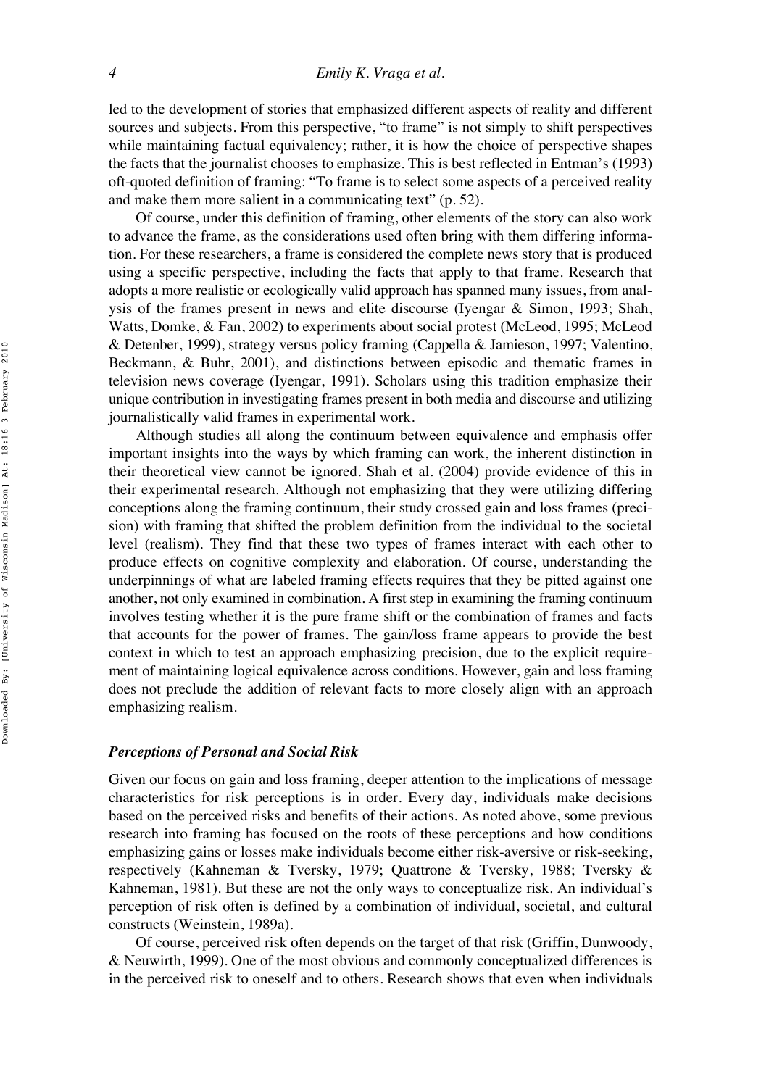led to the development of stories that emphasized different aspects of reality and different sources and subjects. From this perspective, "to frame" is not simply to shift perspectives while maintaining factual equivalency; rather, it is how the choice of perspective shapes the facts that the journalist chooses to emphasize. This is best reflected in Entman's (1993) oft-quoted definition of framing: "To frame is to select some aspects of a perceived reality and make them more salient in a communicating text" (p. 52).

Of course, under this definition of framing, other elements of the story can also work to advance the frame, as the considerations used often bring with them differing information. For these researchers, a frame is considered the complete news story that is produced using a specific perspective, including the facts that apply to that frame. Research that adopts a more realistic or ecologically valid approach has spanned many issues, from analysis of the frames present in news and elite discourse (Iyengar & Simon, 1993; Shah, Watts, Domke, & Fan, 2002) to experiments about social protest (McLeod, 1995; McLeod & Detenber, 1999), strategy versus policy framing (Cappella & Jamieson, 1997; Valentino, Beckmann, & Buhr, 2001), and distinctions between episodic and thematic frames in television news coverage (Iyengar, 1991). Scholars using this tradition emphasize their unique contribution in investigating frames present in both media and discourse and utilizing journalistically valid frames in experimental work.

Although studies all along the continuum between equivalence and emphasis offer important insights into the ways by which framing can work, the inherent distinction in their theoretical view cannot be ignored. Shah et al. (2004) provide evidence of this in their experimental research. Although not emphasizing that they were utilizing differing conceptions along the framing continuum, their study crossed gain and loss frames (precision) with framing that shifted the problem definition from the individual to the societal level (realism). They find that these two types of frames interact with each other to produce effects on cognitive complexity and elaboration. Of course, understanding the underpinnings of what are labeled framing effects requires that they be pitted against one another, not only examined in combination. A first step in examining the framing continuum involves testing whether it is the pure frame shift or the combination of frames and facts that accounts for the power of frames. The gain/loss frame appears to provide the best context in which to test an approach emphasizing precision, due to the explicit requirement of maintaining logical equivalence across conditions. However, gain and loss framing does not preclude the addition of relevant facts to more closely align with an approach emphasizing realism.

#### *Perceptions of Personal and Social Risk*

Given our focus on gain and loss framing, deeper attention to the implications of message characteristics for risk perceptions is in order. Every day, individuals make decisions based on the perceived risks and benefits of their actions. As noted above, some previous research into framing has focused on the roots of these perceptions and how conditions emphasizing gains or losses make individuals become either risk-aversive or risk-seeking, respectively (Kahneman & Tversky, 1979; Quattrone & Tversky, 1988; Tversky & Kahneman, 1981). But these are not the only ways to conceptualize risk. An individual's perception of risk often is defined by a combination of individual, societal, and cultural constructs (Weinstein, 1989a).

Of course, perceived risk often depends on the target of that risk (Griffin, Dunwoody, & Neuwirth, 1999). One of the most obvious and commonly conceptualized differences is in the perceived risk to oneself and to others. Research shows that even when individuals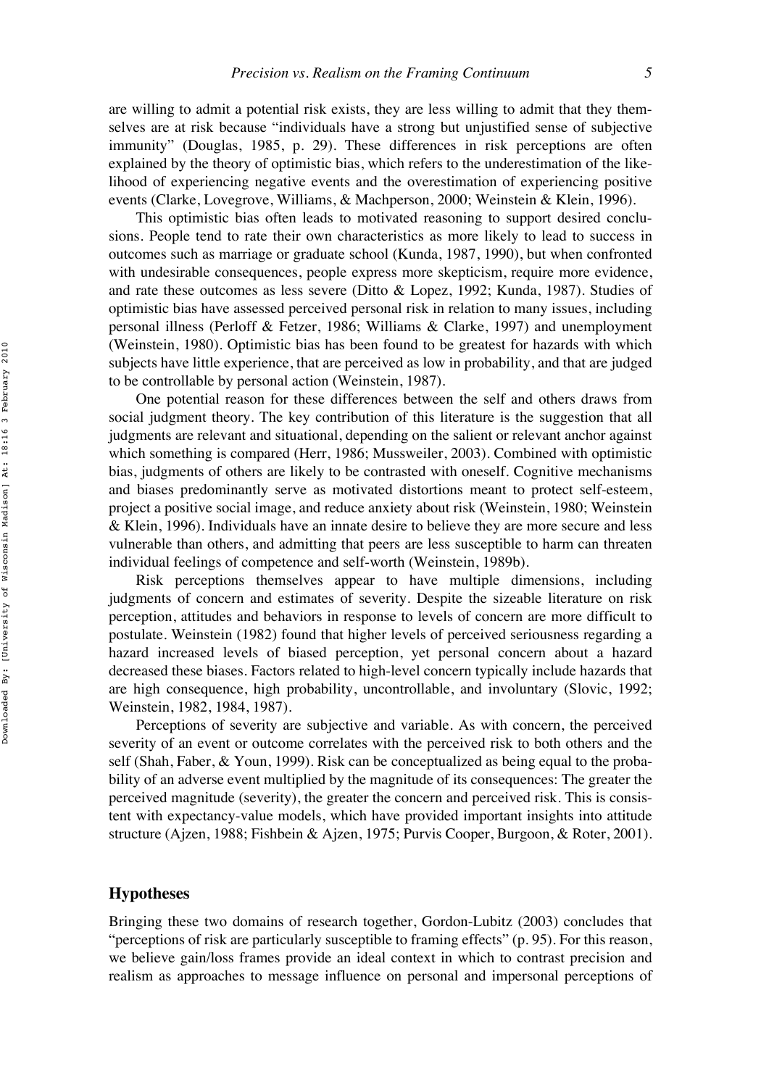are willing to admit a potential risk exists, they are less willing to admit that they themselves are at risk because "individuals have a strong but unjustified sense of subjective immunity" (Douglas, 1985, p. 29). These differences in risk perceptions are often explained by the theory of optimistic bias, which refers to the underestimation of the likelihood of experiencing negative events and the overestimation of experiencing positive events (Clarke, Lovegrove, Williams, & Machperson, 2000; Weinstein & Klein, 1996).

This optimistic bias often leads to motivated reasoning to support desired conclusions. People tend to rate their own characteristics as more likely to lead to success in outcomes such as marriage or graduate school (Kunda, 1987, 1990), but when confronted with undesirable consequences, people express more skepticism, require more evidence, and rate these outcomes as less severe (Ditto  $&$  Lopez, 1992; Kunda, 1987). Studies of optimistic bias have assessed perceived personal risk in relation to many issues, including personal illness (Perloff & Fetzer, 1986; Williams & Clarke, 1997) and unemployment (Weinstein, 1980). Optimistic bias has been found to be greatest for hazards with which subjects have little experience, that are perceived as low in probability, and that are judged to be controllable by personal action (Weinstein, 1987).

One potential reason for these differences between the self and others draws from social judgment theory. The key contribution of this literature is the suggestion that all judgments are relevant and situational, depending on the salient or relevant anchor against which something is compared (Herr, 1986; Mussweiler, 2003). Combined with optimistic bias, judgments of others are likely to be contrasted with oneself. Cognitive mechanisms and biases predominantly serve as motivated distortions meant to protect self-esteem, project a positive social image, and reduce anxiety about risk (Weinstein, 1980; Weinstein & Klein, 1996). Individuals have an innate desire to believe they are more secure and less vulnerable than others, and admitting that peers are less susceptible to harm can threaten individual feelings of competence and self-worth (Weinstein, 1989b).

Risk perceptions themselves appear to have multiple dimensions, including judgments of concern and estimates of severity. Despite the sizeable literature on risk perception, attitudes and behaviors in response to levels of concern are more difficult to postulate. Weinstein (1982) found that higher levels of perceived seriousness regarding a hazard increased levels of biased perception, yet personal concern about a hazard decreased these biases. Factors related to high-level concern typically include hazards that are high consequence, high probability, uncontrollable, and involuntary (Slovic, 1992; Weinstein, 1982, 1984, 1987).

Perceptions of severity are subjective and variable. As with concern, the perceived severity of an event or outcome correlates with the perceived risk to both others and the self (Shah, Faber, & Youn, 1999). Risk can be conceptualized as being equal to the probability of an adverse event multiplied by the magnitude of its consequences: The greater the perceived magnitude (severity), the greater the concern and perceived risk. This is consistent with expectancy-value models, which have provided important insights into attitude structure (Ajzen, 1988; Fishbein & Ajzen, 1975; Purvis Cooper, Burgoon, & Roter, 2001).

## **Hypotheses**

Bringing these two domains of research together, Gordon-Lubitz (2003) concludes that "perceptions of risk are particularly susceptible to framing effects" (p. 95). For this reason, we believe gain/loss frames provide an ideal context in which to contrast precision and realism as approaches to message influence on personal and impersonal perceptions of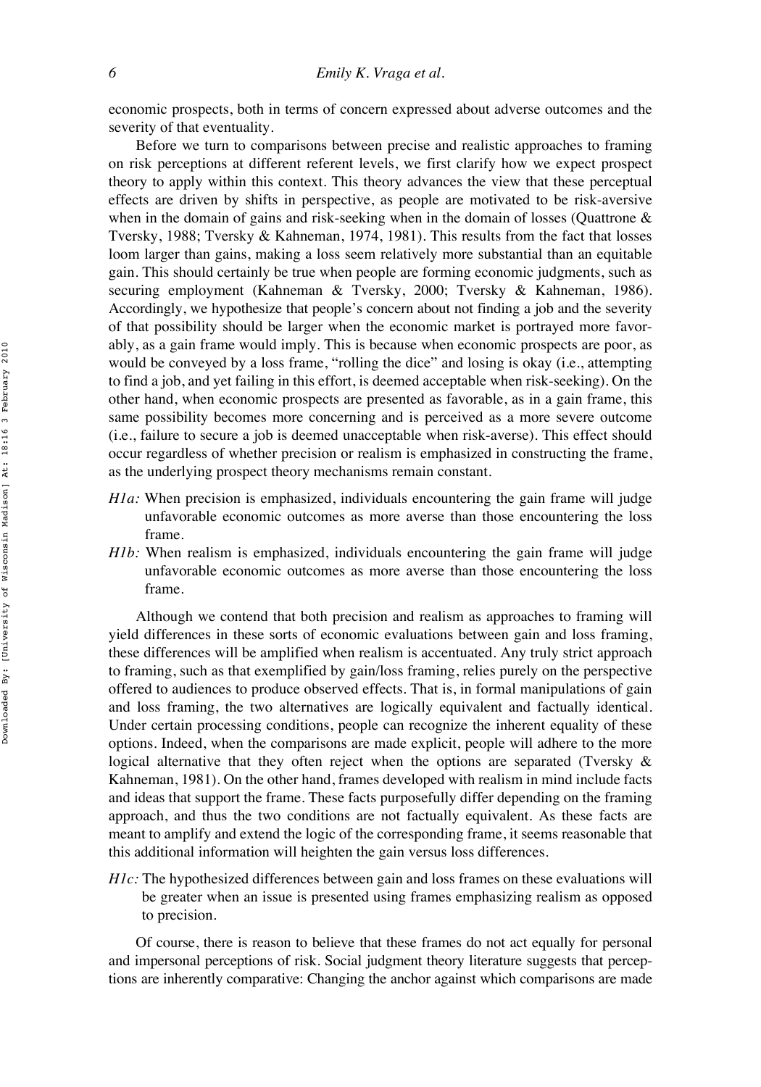economic prospects, both in terms of concern expressed about adverse outcomes and the severity of that eventuality.

Before we turn to comparisons between precise and realistic approaches to framing on risk perceptions at different referent levels, we first clarify how we expect prospect theory to apply within this context. This theory advances the view that these perceptual effects are driven by shifts in perspective, as people are motivated to be risk-aversive when in the domain of gains and risk-seeking when in the domain of losses (Quattrone & Tversky, 1988; Tversky & Kahneman, 1974, 1981). This results from the fact that losses loom larger than gains, making a loss seem relatively more substantial than an equitable gain. This should certainly be true when people are forming economic judgments, such as securing employment (Kahneman & Tversky, 2000; Tversky & Kahneman, 1986). Accordingly, we hypothesize that people's concern about not finding a job and the severity of that possibility should be larger when the economic market is portrayed more favorably, as a gain frame would imply. This is because when economic prospects are poor, as would be conveyed by a loss frame, "rolling the dice" and losing is okay (i.e., attempting to find a job, and yet failing in this effort, is deemed acceptable when risk-seeking). On the other hand, when economic prospects are presented as favorable, as in a gain frame, this same possibility becomes more concerning and is perceived as a more severe outcome (i.e., failure to secure a job is deemed unacceptable when risk-averse). This effect should occur regardless of whether precision or realism is emphasized in constructing the frame, as the underlying prospect theory mechanisms remain constant.

- *H1a:* When precision is emphasized, individuals encountering the gain frame will judge unfavorable economic outcomes as more averse than those encountering the loss frame.
- *H1b:* When realism is emphasized, individuals encountering the gain frame will judge unfavorable economic outcomes as more averse than those encountering the loss frame.

Although we contend that both precision and realism as approaches to framing will yield differences in these sorts of economic evaluations between gain and loss framing, these differences will be amplified when realism is accentuated. Any truly strict approach to framing, such as that exemplified by gain/loss framing, relies purely on the perspective offered to audiences to produce observed effects. That is, in formal manipulations of gain and loss framing, the two alternatives are logically equivalent and factually identical. Under certain processing conditions, people can recognize the inherent equality of these options. Indeed, when the comparisons are made explicit, people will adhere to the more logical alternative that they often reject when the options are separated (Tversky & Kahneman, 1981). On the other hand, frames developed with realism in mind include facts and ideas that support the frame. These facts purposefully differ depending on the framing approach, and thus the two conditions are not factually equivalent. As these facts are meant to amplify and extend the logic of the corresponding frame, it seems reasonable that this additional information will heighten the gain versus loss differences.

*H1c:* The hypothesized differences between gain and loss frames on these evaluations will be greater when an issue is presented using frames emphasizing realism as opposed to precision.

Of course, there is reason to believe that these frames do not act equally for personal and impersonal perceptions of risk. Social judgment theory literature suggests that perceptions are inherently comparative: Changing the anchor against which comparisons are made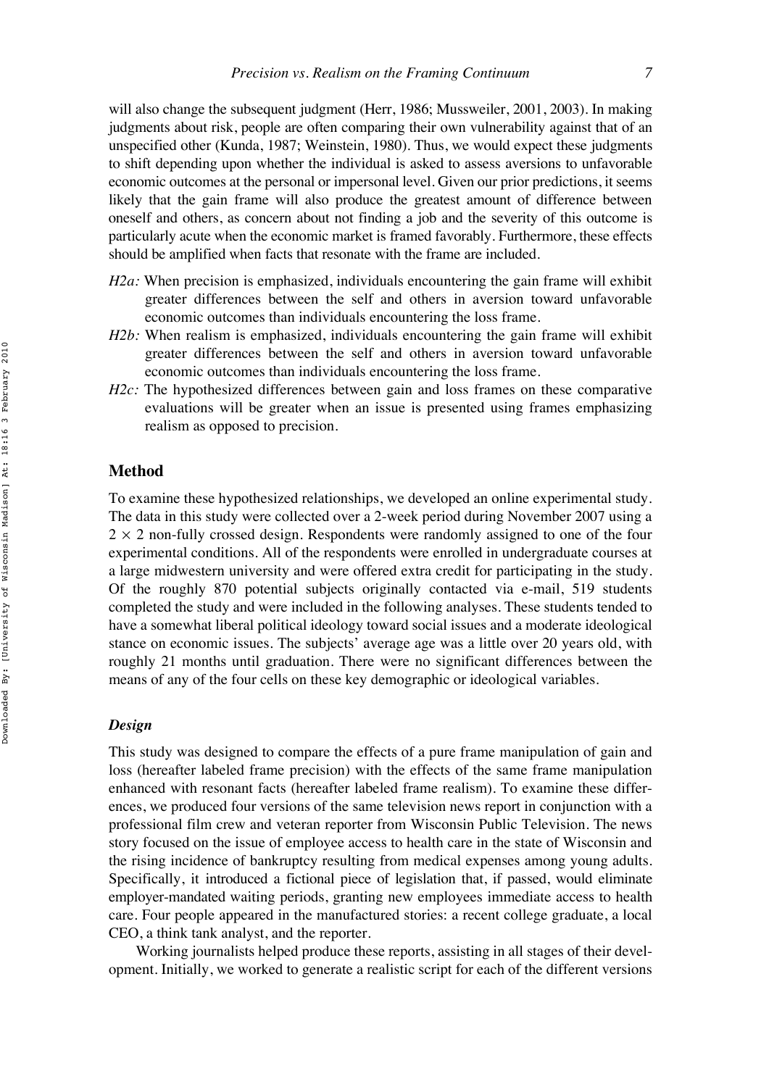will also change the subsequent judgment (Herr, 1986; Mussweiler, 2001, 2003). In making judgments about risk, people are often comparing their own vulnerability against that of an unspecified other (Kunda, 1987; Weinstein, 1980). Thus, we would expect these judgments to shift depending upon whether the individual is asked to assess aversions to unfavorable economic outcomes at the personal or impersonal level. Given our prior predictions, it seems likely that the gain frame will also produce the greatest amount of difference between oneself and others, as concern about not finding a job and the severity of this outcome is particularly acute when the economic market is framed favorably. Furthermore, these effects should be amplified when facts that resonate with the frame are included.

- *H2a*: When precision is emphasized, individuals encountering the gain frame will exhibit greater differences between the self and others in aversion toward unfavorable economic outcomes than individuals encountering the loss frame.
- *H2b*: When realism is emphasized, individuals encountering the gain frame will exhibit greater differences between the self and others in aversion toward unfavorable economic outcomes than individuals encountering the loss frame.
- *H2c*: The hypothesized differences between gain and loss frames on these comparative evaluations will be greater when an issue is presented using frames emphasizing realism as opposed to precision.

### **Method**

To examine these hypothesized relationships, we developed an online experimental study. The data in this study were collected over a 2-week period during November 2007 using a  $2 \times 2$  non-fully crossed design. Respondents were randomly assigned to one of the four experimental conditions. All of the respondents were enrolled in undergraduate courses at a large midwestern university and were offered extra credit for participating in the study. Of the roughly 870 potential subjects originally contacted via e-mail, 519 students completed the study and were included in the following analyses. These students tended to have a somewhat liberal political ideology toward social issues and a moderate ideological stance on economic issues. The subjects' average age was a little over 20 years old, with roughly 21 months until graduation. There were no significant differences between the means of any of the four cells on these key demographic or ideological variables.

## *Design*

This study was designed to compare the effects of a pure frame manipulation of gain and loss (hereafter labeled frame precision) with the effects of the same frame manipulation enhanced with resonant facts (hereafter labeled frame realism). To examine these differences, we produced four versions of the same television news report in conjunction with a professional film crew and veteran reporter from Wisconsin Public Television. The news story focused on the issue of employee access to health care in the state of Wisconsin and the rising incidence of bankruptcy resulting from medical expenses among young adults. Specifically, it introduced a fictional piece of legislation that, if passed, would eliminate employer-mandated waiting periods, granting new employees immediate access to health care. Four people appeared in the manufactured stories: a recent college graduate, a local CEO, a think tank analyst, and the reporter.

Working journalists helped produce these reports, assisting in all stages of their development. Initially, we worked to generate a realistic script for each of the different versions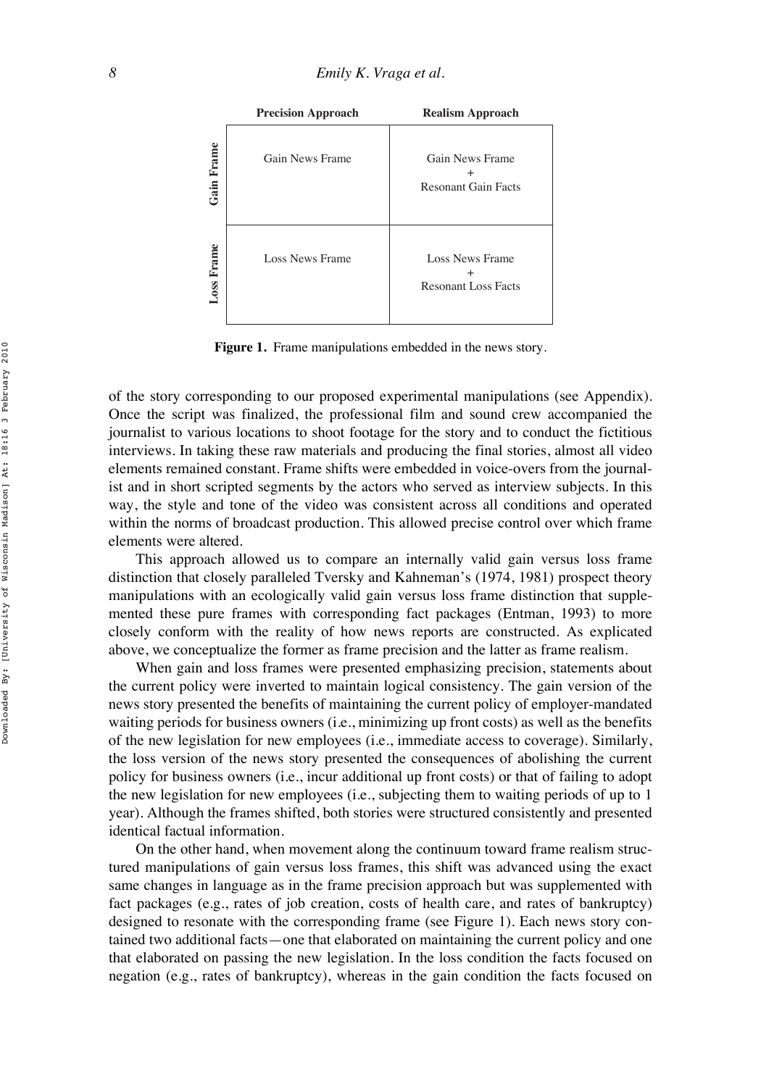

**Figure 1.** Frame manipulations embedded in the news story.

of the story corresponding to our proposed experimental manipulations (see Appendix). Once the script was finalized, the professional film and sound crew accompanied the journalist to various locations to shoot footage for the story and to conduct the fictitious interviews. In taking these raw materials and producing the final stories, almost all video elements remained constant. Frame shifts were embedded in voice-overs from the journalist and in short scripted segments by the actors who served as interview subjects. In this way, the style and tone of the video was consistent across all conditions and operated within the norms of broadcast production. This allowed precise control over which frame elements were altered.

This approach allowed us to compare an internally valid gain versus loss frame distinction that closely paralleled Tversky and Kahneman's (1974, 1981) prospect theory manipulations with an ecologically valid gain versus loss frame distinction that supplemented these pure frames with corresponding fact packages (Entman, 1993) to more closely conform with the reality of how news reports are constructed. As explicated above, we conceptualize the former as frame precision and the latter as frame realism.

When gain and loss frames were presented emphasizing precision, statements about the current policy were inverted to maintain logical consistency. The gain version of the news story presented the benefits of maintaining the current policy of employer-mandated waiting periods for business owners (i.e., minimizing up front costs) as well as the benefits of the new legislation for new employees (i.e., immediate access to coverage). Similarly, the loss version of the news story presented the consequences of abolishing the current policy for business owners (i.e., incur additional up front costs) or that of failing to adopt the new legislation for new employees (i.e., subjecting them to waiting periods of up to 1 year). Although the frames shifted, both stories were structured consistently and presented identical factual information.

On the other hand, when movement along the continuum toward frame realism structured manipulations of gain versus loss frames, this shift was advanced using the exact same changes in language as in the frame precision approach but was supplemented with fact packages (e.g., rates of job creation, costs of health care, and rates of bankruptcy) designed to resonate with the corresponding frame (see Figure 1). Each news story contained two additional facts—one that elaborated on maintaining the current policy and one that elaborated on passing the new legislation. In the loss condition the facts focused on negation (e.g., rates of bankruptcy), whereas in the gain condition the facts focused on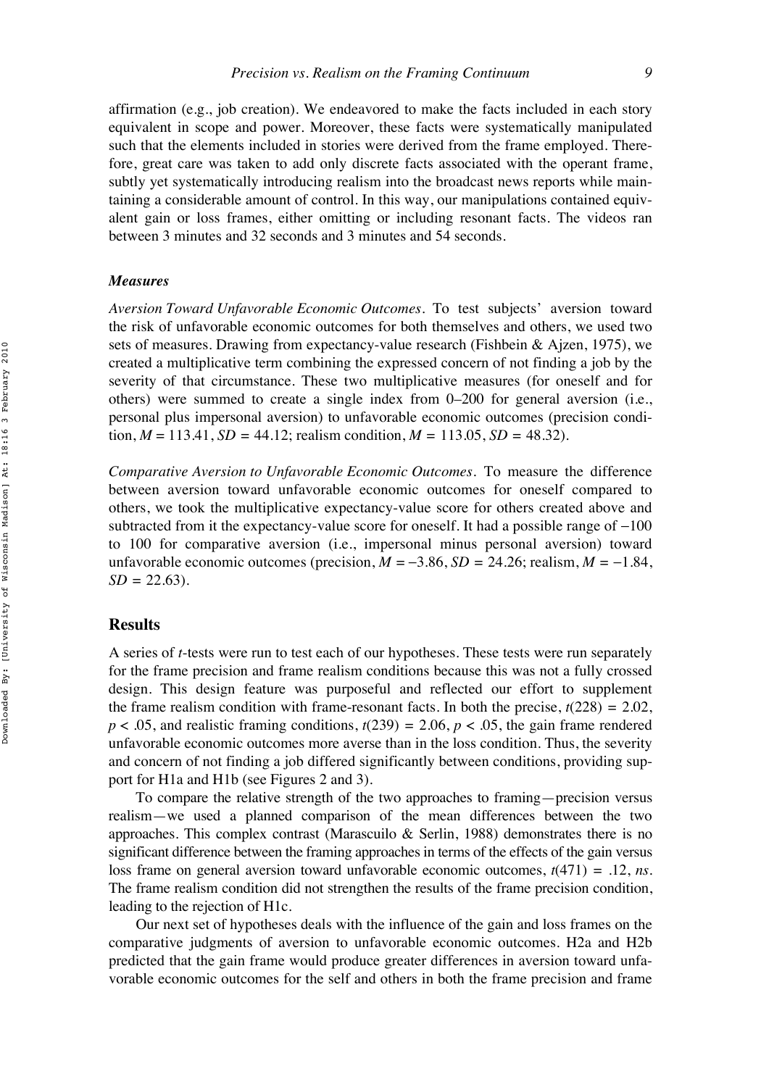affirmation (e.g., job creation). We endeavored to make the facts included in each story equivalent in scope and power. Moreover, these facts were systematically manipulated such that the elements included in stories were derived from the frame employed. Therefore, great care was taken to add only discrete facts associated with the operant frame, subtly yet systematically introducing realism into the broadcast news reports while maintaining a considerable amount of control. In this way, our manipulations contained equivalent gain or loss frames, either omitting or including resonant facts. The videos ran between 3 minutes and 32 seconds and 3 minutes and 54 seconds.

#### *Measures*

*Aversion Toward Unfavorable Economic Outcomes.* To test subjects' aversion toward the risk of unfavorable economic outcomes for both themselves and others, we used two sets of measures. Drawing from expectancy-value research (Fishbein & Ajzen, 1975), we created a multiplicative term combining the expressed concern of not finding a job by the severity of that circumstance. These two multiplicative measures (for oneself and for others) were summed to create a single index from 0–200 for general aversion (i.e., personal plus impersonal aversion) to unfavorable economic outcomes (precision condition,  $M = 113.41$ ,  $SD = 44.12$ ; realism condition,  $M = 113.05$ ,  $SD = 48.32$ ).

*Comparative Aversion to Unfavorable Economic Outcomes.* To measure the difference between aversion toward unfavorable economic outcomes for oneself compared to others, we took the multiplicative expectancy-value score for others created above and subtracted from it the expectancy-value score for oneself. It had a possible range of −100 to 100 for comparative aversion (i.e., impersonal minus personal aversion) toward unfavorable economic outcomes (precision,  $M = -3.86$ ,  $SD = 24.26$ ; realism,  $M = -1.84$ ,  $SD = 22.63$ .

## **Results**

A series of *t*-tests were run to test each of our hypotheses. These tests were run separately for the frame precision and frame realism conditions because this was not a fully crossed design. This design feature was purposeful and reflected our effort to supplement the frame realism condition with frame-resonant facts. In both the precise,  $t(228) = 2.02$ ,  $p < .05$ , and realistic framing conditions,  $t(239) = 2.06$ ,  $p < .05$ , the gain frame rendered unfavorable economic outcomes more averse than in the loss condition. Thus, the severity and concern of not finding a job differed significantly between conditions, providing support for H1a and H1b (see Figures 2 and 3).

To compare the relative strength of the two approaches to framing—precision versus realism—we used a planned comparison of the mean differences between the two approaches. This complex contrast (Marascuilo  $\&$  Serlin, 1988) demonstrates there is no significant difference between the framing approaches in terms of the effects of the gain versus loss frame on general aversion toward unfavorable economic outcomes, *t*(471) = .12, *ns*. The frame realism condition did not strengthen the results of the frame precision condition, leading to the rejection of H1c.

Our next set of hypotheses deals with the influence of the gain and loss frames on the comparative judgments of aversion to unfavorable economic outcomes. H2a and H2b predicted that the gain frame would produce greater differences in aversion toward unfavorable economic outcomes for the self and others in both the frame precision and frame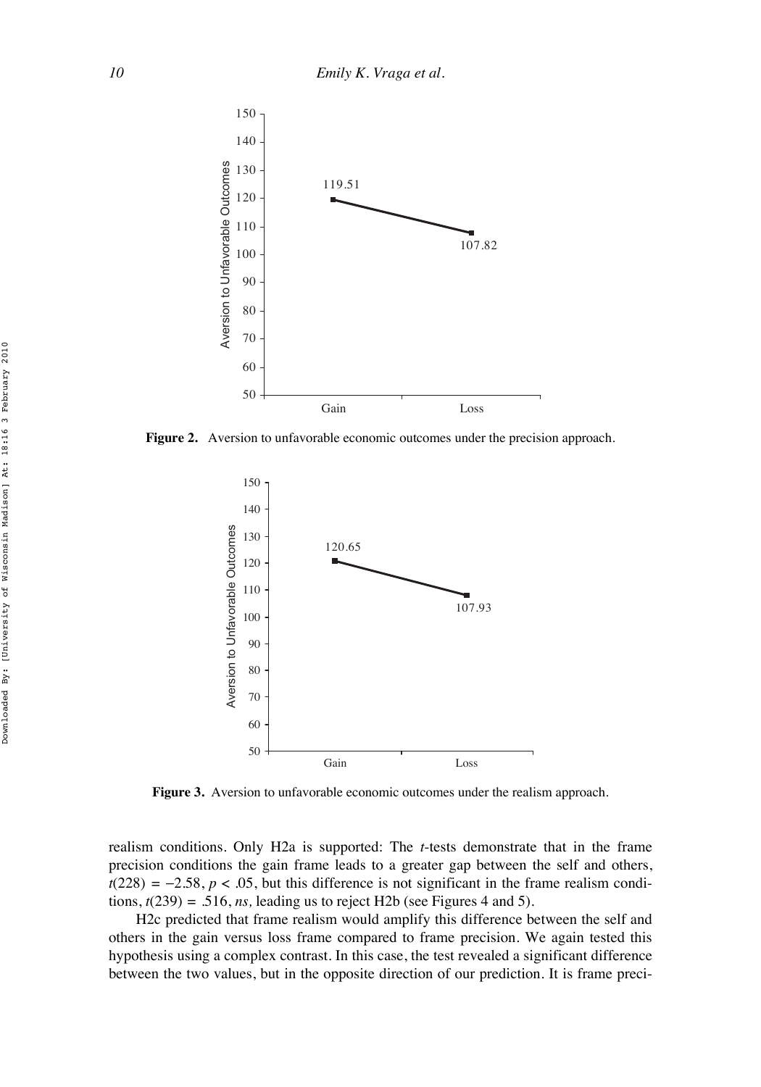

**Figure 2.** Aversion to unfavorable economic outcomes under the precision approach.



**Figure 3.** Aversion to unfavorable economic outcomes under the realism approach.

realism conditions. Only H2a is supported: The *t*-tests demonstrate that in the frame precision conditions the gain frame leads to a greater gap between the self and others,  $t(228) = -2.58$ ,  $p < .05$ , but this difference is not significant in the frame realism conditions,  $t(239) = .516$ , *ns*, leading us to reject H2b (see Figures 4 and 5).

H2c predicted that frame realism would amplify this difference between the self and others in the gain versus loss frame compared to frame precision. We again tested this hypothesis using a complex contrast. In this case, the test revealed a significant difference between the two values, but in the opposite direction of our prediction. It is frame preci-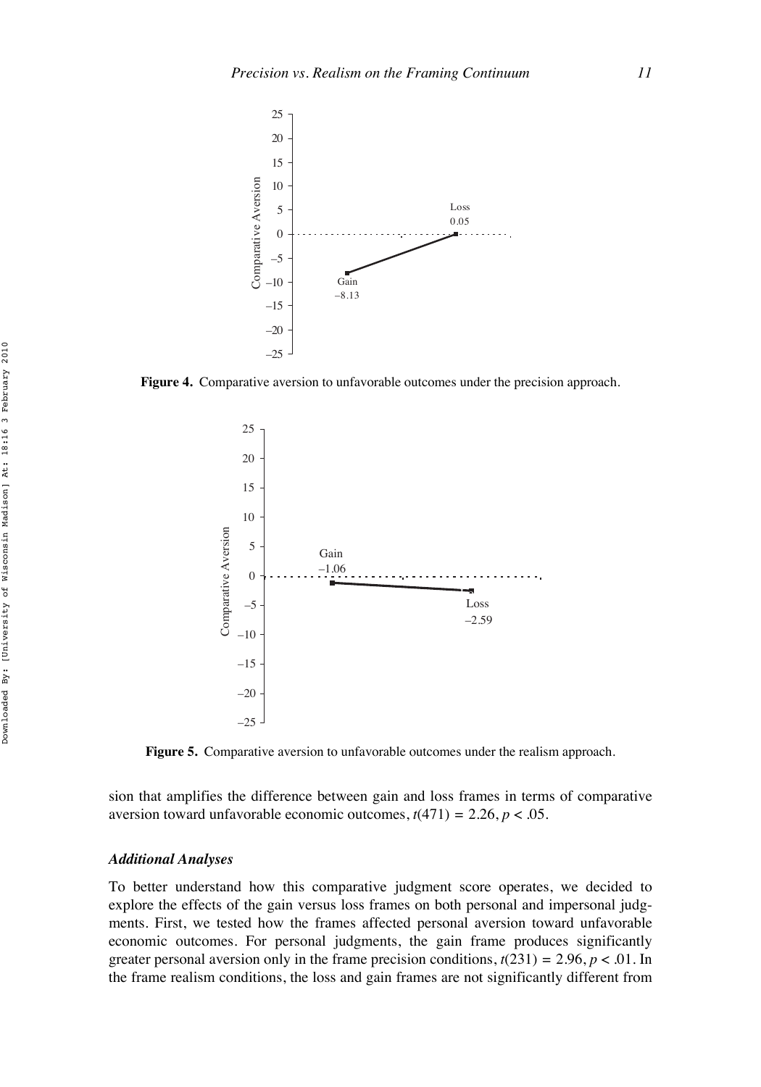

**Figure 4.** Comparative aversion to unfavorable outcomes under the precision approach.



**Figure 5.** Comparative aversion to unfavorable outcomes under the realism approach.

sion that amplifies the difference between gain and loss frames in terms of comparative aversion toward unfavorable economic outcomes,  $t(471) = 2.26$ ,  $p < .05$ .

#### *Additional Analyses*

To better understand how this comparative judgment score operates, we decided to explore the effects of the gain versus loss frames on both personal and impersonal judgments. First, we tested how the frames affected personal aversion toward unfavorable economic outcomes. For personal judgments, the gain frame produces significantly greater personal aversion only in the frame precision conditions,  $t(231) = 2.96$ ,  $p < .01$ . In the frame realism conditions, the loss and gain frames are not significantly different from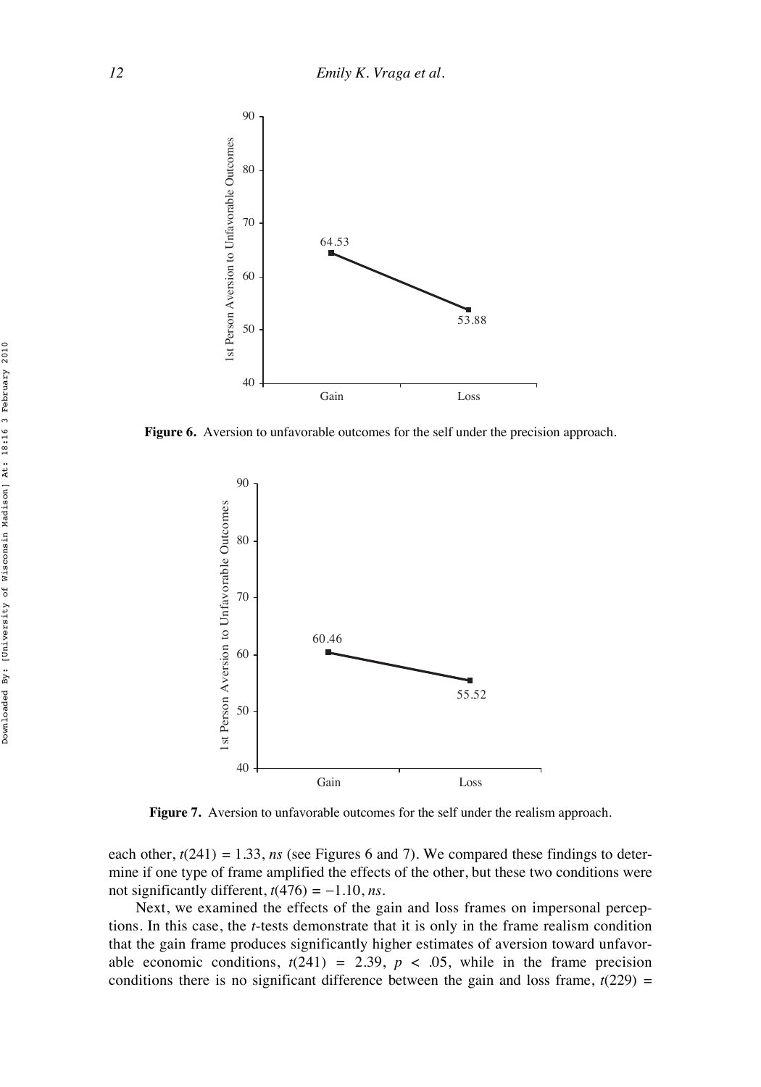

**Figure 6.** Aversion to unfavorable outcomes for the self under the precision approach.



**Figure 7.** Aversion to unfavorable outcomes for the self under the realism approach.

each other,  $t(241) = 1.33$ , *ns* (see Figures 6 and 7). We compared these findings to determine if one type of frame amplified the effects of the other, but these two conditions were not significantly different,  $t(476) = -1.10$ , *ns*.

Next, we examined the effects of the gain and loss frames on impersonal perceptions. In this case, the *t*-tests demonstrate that it is only in the frame realism condition that the gain frame produces significantly higher estimates of aversion toward unfavorable economic conditions,  $t(241) = 2.39$ ,  $p < .05$ , while in the frame precision conditions there is no significant difference between the gain and loss frame,  $t(229)$  =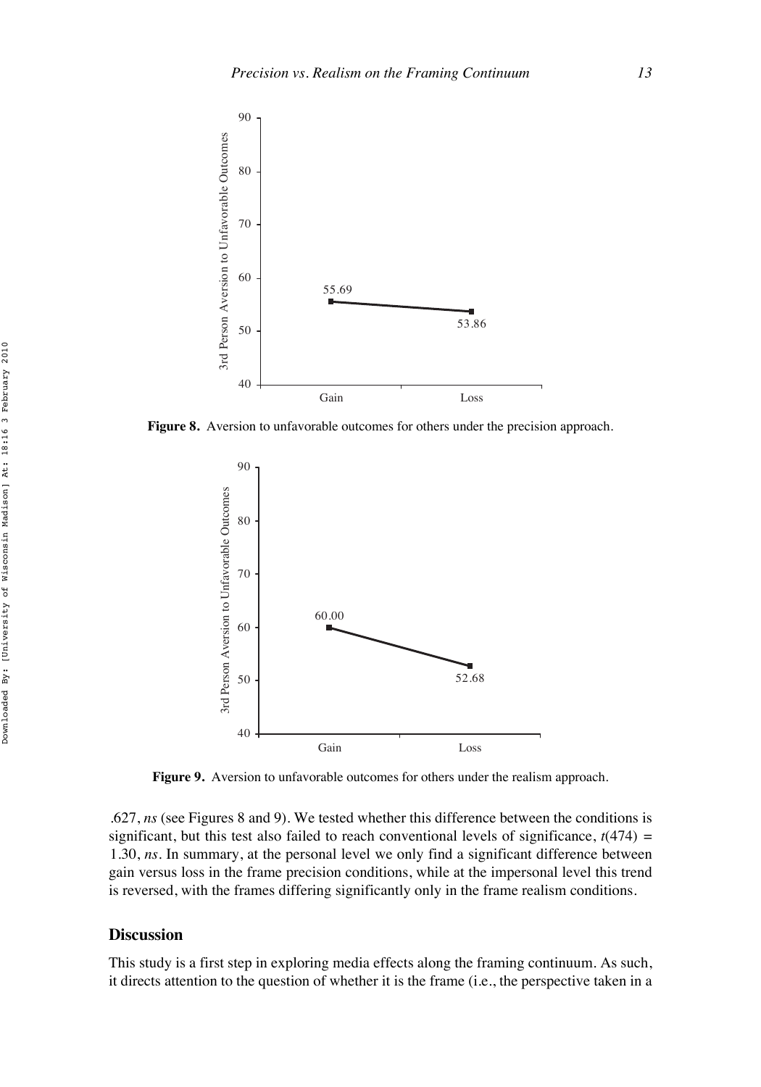

**Figure 8.** Aversion to unfavorable outcomes for others under the precision approach.



**Figure 9.** Aversion to unfavorable outcomes for others under the realism approach.

.627, *ns* (see Figures 8 and 9). We tested whether this difference between the conditions is significant, but this test also failed to reach conventional levels of significance,  $t(474)$  = 1.30, *ns*. In summary, at the personal level we only find a significant difference between gain versus loss in the frame precision conditions, while at the impersonal level this trend is reversed, with the frames differing significantly only in the frame realism conditions.

# **Discussion**

This study is a first step in exploring media effects along the framing continuum. As such, it directs attention to the question of whether it is the frame (i.e., the perspective taken in a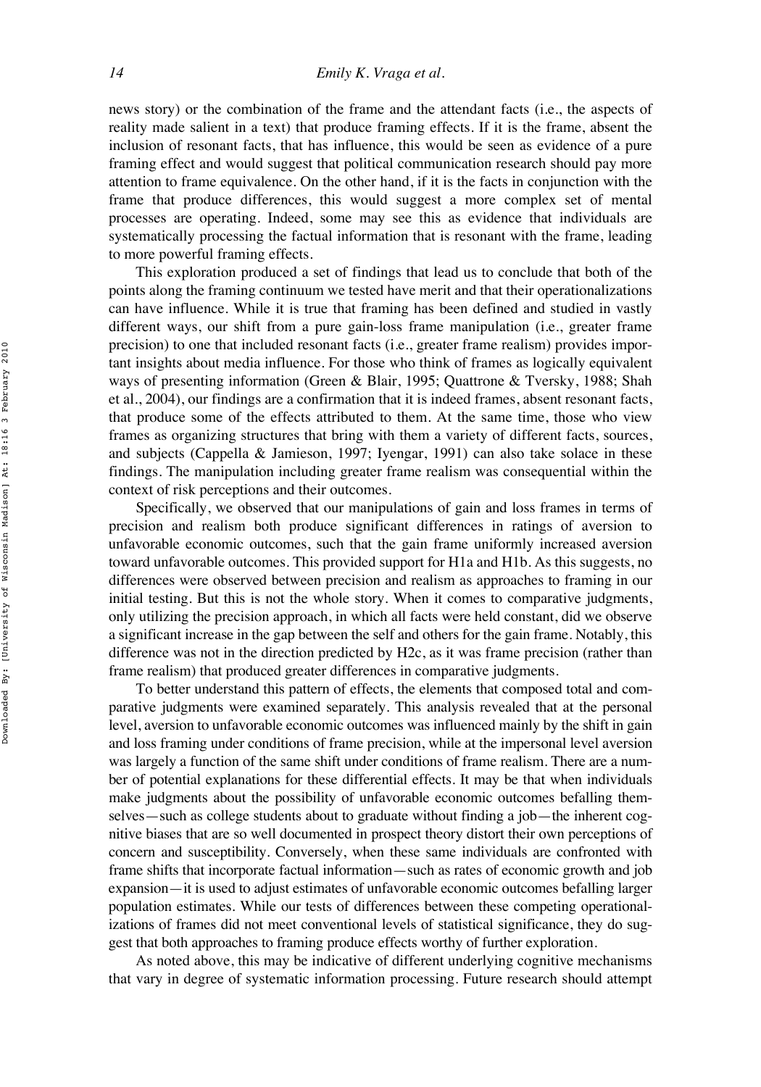news story) or the combination of the frame and the attendant facts (i.e., the aspects of reality made salient in a text) that produce framing effects. If it is the frame, absent the inclusion of resonant facts, that has influence, this would be seen as evidence of a pure framing effect and would suggest that political communication research should pay more attention to frame equivalence. On the other hand, if it is the facts in conjunction with the frame that produce differences, this would suggest a more complex set of mental processes are operating. Indeed, some may see this as evidence that individuals are systematically processing the factual information that is resonant with the frame, leading to more powerful framing effects.

This exploration produced a set of findings that lead us to conclude that both of the points along the framing continuum we tested have merit and that their operationalizations can have influence. While it is true that framing has been defined and studied in vastly different ways, our shift from a pure gain-loss frame manipulation (i.e., greater frame precision) to one that included resonant facts (i.e., greater frame realism) provides important insights about media influence. For those who think of frames as logically equivalent ways of presenting information (Green & Blair, 1995; Quattrone & Tversky, 1988; Shah et al., 2004), our findings are a confirmation that it is indeed frames, absent resonant facts, that produce some of the effects attributed to them. At the same time, those who view frames as organizing structures that bring with them a variety of different facts, sources, and subjects (Cappella & Jamieson, 1997; Iyengar, 1991) can also take solace in these findings. The manipulation including greater frame realism was consequential within the context of risk perceptions and their outcomes.

Specifically, we observed that our manipulations of gain and loss frames in terms of precision and realism both produce significant differences in ratings of aversion to unfavorable economic outcomes, such that the gain frame uniformly increased aversion toward unfavorable outcomes. This provided support for H1a and H1b. As this suggests, no differences were observed between precision and realism as approaches to framing in our initial testing. But this is not the whole story. When it comes to comparative judgments, only utilizing the precision approach, in which all facts were held constant, did we observe a significant increase in the gap between the self and others for the gain frame. Notably, this difference was not in the direction predicted by H2c, as it was frame precision (rather than frame realism) that produced greater differences in comparative judgments.

To better understand this pattern of effects, the elements that composed total and comparative judgments were examined separately. This analysis revealed that at the personal level, aversion to unfavorable economic outcomes was influenced mainly by the shift in gain and loss framing under conditions of frame precision, while at the impersonal level aversion was largely a function of the same shift under conditions of frame realism. There are a number of potential explanations for these differential effects. It may be that when individuals make judgments about the possibility of unfavorable economic outcomes befalling themselves—such as college students about to graduate without finding a job—the inherent cognitive biases that are so well documented in prospect theory distort their own perceptions of concern and susceptibility. Conversely, when these same individuals are confronted with frame shifts that incorporate factual information—such as rates of economic growth and job expansion—it is used to adjust estimates of unfavorable economic outcomes befalling larger population estimates. While our tests of differences between these competing operationalizations of frames did not meet conventional levels of statistical significance, they do suggest that both approaches to framing produce effects worthy of further exploration.

As noted above, this may be indicative of different underlying cognitive mechanisms that vary in degree of systematic information processing. Future research should attempt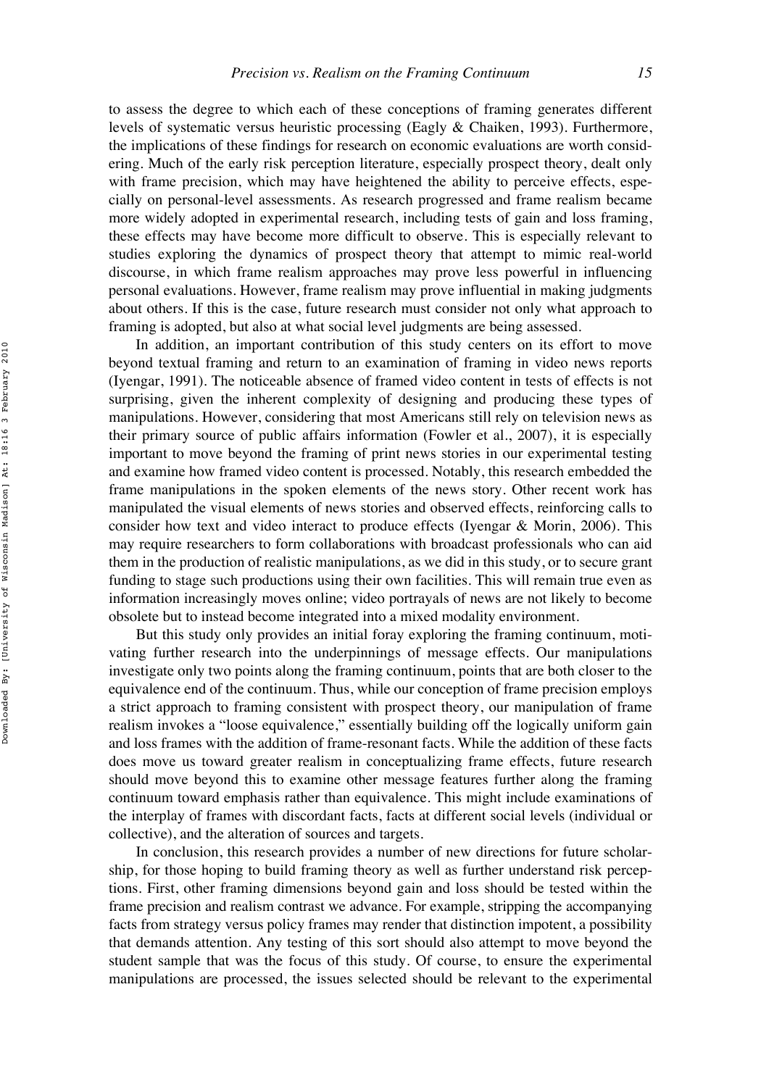to assess the degree to which each of these conceptions of framing generates different levels of systematic versus heuristic processing (Eagly & Chaiken, 1993). Furthermore, the implications of these findings for research on economic evaluations are worth considering. Much of the early risk perception literature, especially prospect theory, dealt only with frame precision, which may have heightened the ability to perceive effects, especially on personal-level assessments. As research progressed and frame realism became more widely adopted in experimental research, including tests of gain and loss framing, these effects may have become more difficult to observe. This is especially relevant to studies exploring the dynamics of prospect theory that attempt to mimic real-world discourse, in which frame realism approaches may prove less powerful in influencing personal evaluations. However, frame realism may prove influential in making judgments about others. If this is the case, future research must consider not only what approach to framing is adopted, but also at what social level judgments are being assessed.

In addition, an important contribution of this study centers on its effort to move beyond textual framing and return to an examination of framing in video news reports (Iyengar, 1991). The noticeable absence of framed video content in tests of effects is not surprising, given the inherent complexity of designing and producing these types of manipulations. However, considering that most Americans still rely on television news as their primary source of public affairs information (Fowler et al., 2007), it is especially important to move beyond the framing of print news stories in our experimental testing and examine how framed video content is processed. Notably, this research embedded the frame manipulations in the spoken elements of the news story. Other recent work has manipulated the visual elements of news stories and observed effects, reinforcing calls to consider how text and video interact to produce effects (Iyengar & Morin, 2006). This may require researchers to form collaborations with broadcast professionals who can aid them in the production of realistic manipulations, as we did in this study, or to secure grant funding to stage such productions using their own facilities. This will remain true even as information increasingly moves online; video portrayals of news are not likely to become obsolete but to instead become integrated into a mixed modality environment.

But this study only provides an initial foray exploring the framing continuum, motivating further research into the underpinnings of message effects. Our manipulations investigate only two points along the framing continuum, points that are both closer to the equivalence end of the continuum. Thus, while our conception of frame precision employs a strict approach to framing consistent with prospect theory, our manipulation of frame realism invokes a "loose equivalence," essentially building off the logically uniform gain and loss frames with the addition of frame-resonant facts. While the addition of these facts does move us toward greater realism in conceptualizing frame effects, future research should move beyond this to examine other message features further along the framing continuum toward emphasis rather than equivalence. This might include examinations of the interplay of frames with discordant facts, facts at different social levels (individual or collective), and the alteration of sources and targets.

In conclusion, this research provides a number of new directions for future scholarship, for those hoping to build framing theory as well as further understand risk perceptions. First, other framing dimensions beyond gain and loss should be tested within the frame precision and realism contrast we advance. For example, stripping the accompanying facts from strategy versus policy frames may render that distinction impotent, a possibility that demands attention. Any testing of this sort should also attempt to move beyond the student sample that was the focus of this study. Of course, to ensure the experimental manipulations are processed, the issues selected should be relevant to the experimental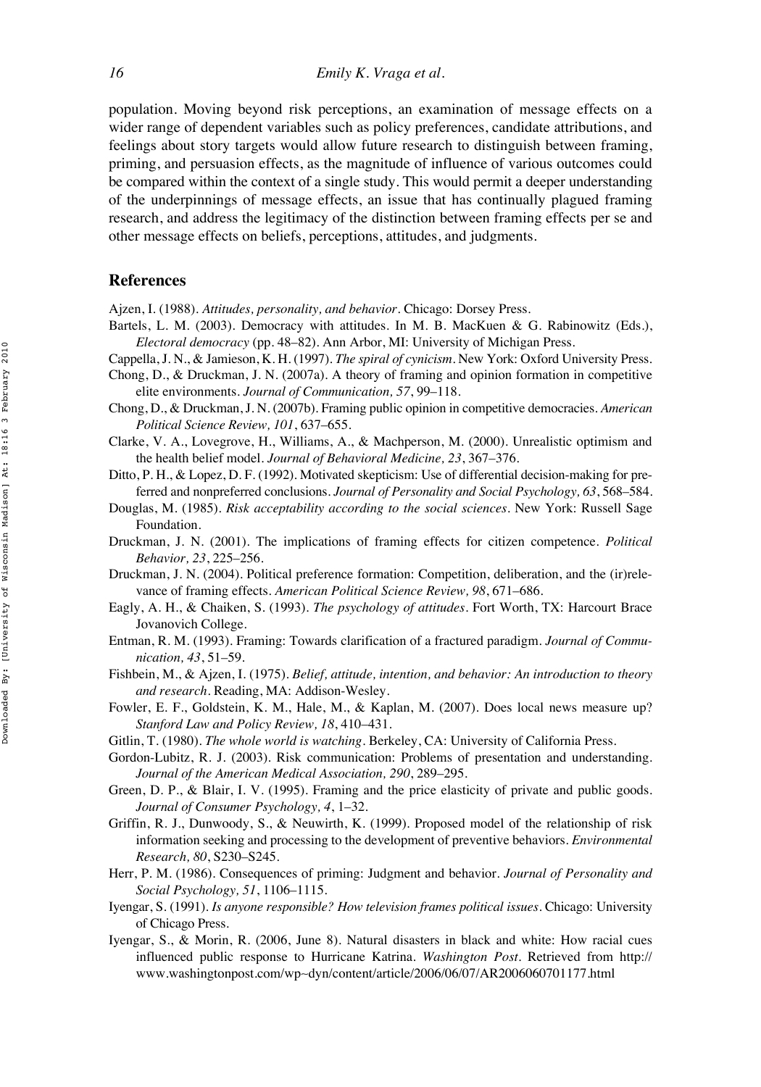population. Moving beyond risk perceptions, an examination of message effects on a wider range of dependent variables such as policy preferences, candidate attributions, and feelings about story targets would allow future research to distinguish between framing, priming, and persuasion effects, as the magnitude of influence of various outcomes could be compared within the context of a single study. This would permit a deeper understanding of the underpinnings of message effects, an issue that has continually plagued framing research, and address the legitimacy of the distinction between framing effects per se and other message effects on beliefs, perceptions, attitudes, and judgments.

## **References**

Ajzen, I. (1988). *Attitudes, personality, and behavior*. Chicago: Dorsey Press.

- Bartels, L. M. (2003). Democracy with attitudes. In M. B. MacKuen & G. Rabinowitz (Eds.), *Electoral democracy* (pp. 48–82). Ann Arbor, MI: University of Michigan Press.
- Cappella, J. N., & Jamieson, K. H. (1997). *The spiral of cynicism*. New York: Oxford University Press.
- Chong, D., & Druckman, J. N. (2007a). A theory of framing and opinion formation in competitive elite environments. *Journal of Communication, 57*, 99–118.
- Chong, D., & Druckman, J. N. (2007b). Framing public opinion in competitive democracies. *American Political Science Review, 101*, 637–655.
- Clarke, V. A., Lovegrove, H., Williams, A., & Machperson, M. (2000). Unrealistic optimism and the health belief model. *Journal of Behavioral Medicine, 23*, 367–376.
- Ditto, P. H., & Lopez, D. F. (1992). Motivated skepticism: Use of differential decision-making for preferred and nonpreferred conclusions. *Journal of Personality and Social Psychology, 63*, 568–584.
- Douglas, M. (1985). *Risk acceptability according to the social sciences*. New York: Russell Sage Foundation.
- Druckman, J. N. (2001). The implications of framing effects for citizen competence. *Political Behavior, 23*, 225–256.
- Druckman, J. N. (2004). Political preference formation: Competition, deliberation, and the (ir)relevance of framing effects. *American Political Science Review, 98*, 671–686.
- Eagly, A. H., & Chaiken, S. (1993). *The psychology of attitudes*. Fort Worth, TX: Harcourt Brace Jovanovich College.
- Entman, R. M. (1993). Framing: Towards clarification of a fractured paradigm. *Journal of Communication, 43*, 51–59.
- Fishbein, M., & Ajzen, I. (1975). *Belief, attitude, intention, and behavior: An introduction to theory and research*. Reading, MA: Addison-Wesley.
- Fowler, E. F., Goldstein, K. M., Hale, M., & Kaplan, M. (2007). Does local news measure up? *Stanford Law and Policy Review, 18*, 410–431.
- Gitlin, T. (1980). *The whole world is watching*. Berkeley, CA: University of California Press.
- Gordon-Lubitz, R. J. (2003). Risk communication: Problems of presentation and understanding. *Journal of the American Medical Association, 290*, 289–295.
- Green, D. P., & Blair, I. V. (1995). Framing and the price elasticity of private and public goods. *Journal of Consumer Psychology, 4*, 1–32.
- Griffin, R. J., Dunwoody, S., & Neuwirth, K. (1999). Proposed model of the relationship of risk information seeking and processing to the development of preventive behaviors. *Environmental Research, 80*, S230–S245.
- Herr, P. M. (1986). Consequences of priming: Judgment and behavior. *Journal of Personality and Social Psychology, 51*, 1106–1115.
- Iyengar, S. (1991). *Is anyone responsible? How television frames political issues*. Chicago: University of Chicago Press.
- Iyengar, S., & Morin, R. (2006, June 8). Natural disasters in black and white: How racial cues influenced public response to Hurricane Katrina. *Washington Post*. Retrieved from http:// www.washingtonpost.com/wp∼dyn/content/article/2006/06/07/AR2006060701177.html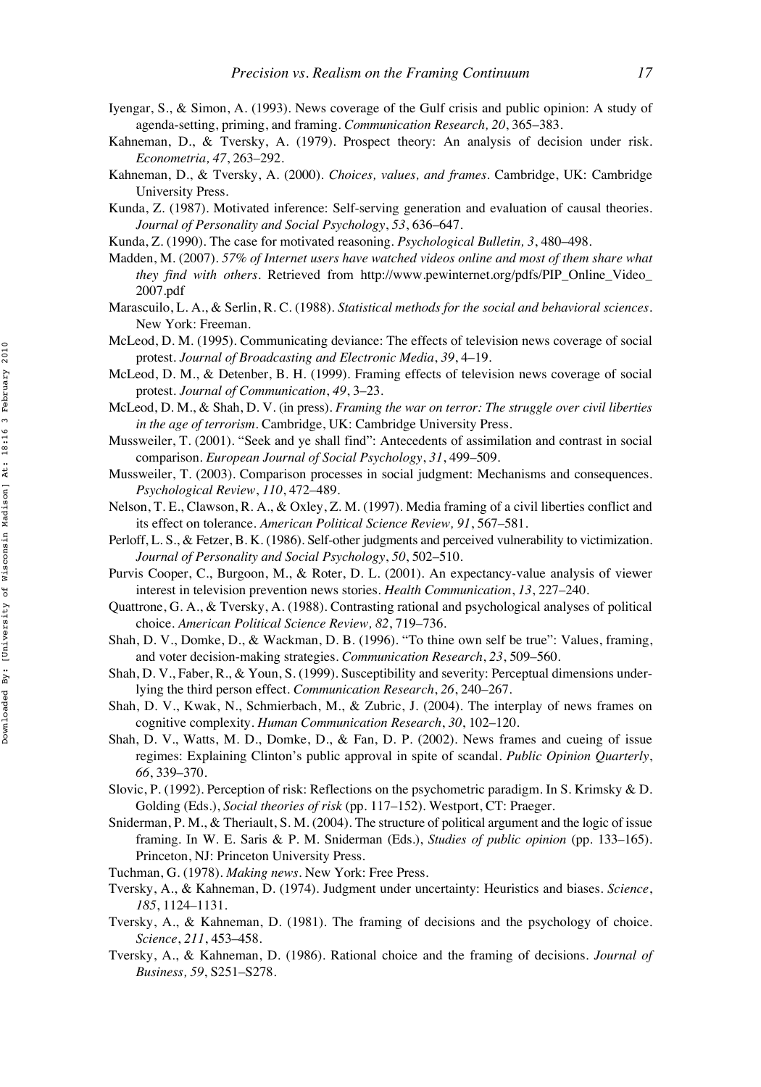- Iyengar, S., & Simon, A. (1993). News coverage of the Gulf crisis and public opinion: A study of agenda-setting, priming, and framing. *Communication Research, 20*, 365–383.
- Kahneman, D., & Tversky, A. (1979). Prospect theory: An analysis of decision under risk. *Econometria, 47*, 263–292.
- Kahneman, D., & Tversky, A. (2000). *Choices, values, and frames*. Cambridge, UK: Cambridge University Press.
- Kunda, Z. (1987). Motivated inference: Self-serving generation and evaluation of causal theories. *Journal of Personality and Social Psychology*, *53*, 636–647.
- Kunda, Z. (1990). The case for motivated reasoning. *Psychological Bulletin, 3*, 480–498.
- Madden, M. (2007). *57% of Internet users have watched videos online and most of them share what they find with others*. Retrieved from http://www.pewinternet.org/pdfs/PIP\_Online\_Video\_ 2007.pdf
- Marascuilo, L. A., & Serlin, R. C. (1988). *Statistical methods for the social and behavioral sciences*. New York: Freeman.
- McLeod, D. M. (1995). Communicating deviance: The effects of television news coverage of social protest. *Journal of Broadcasting and Electronic Media*, *39*, 4–19.
- McLeod, D. M., & Detenber, B. H. (1999). Framing effects of television news coverage of social protest. *Journal of Communication*, *49*, 3–23.
- McLeod, D. M., & Shah, D. V. (in press). *Framing the war on terror: The struggle over civil liberties in the age of terrorism*. Cambridge, UK: Cambridge University Press.
- Mussweiler, T. (2001). "Seek and ye shall find": Antecedents of assimilation and contrast in social comparison. *European Journal of Social Psychology*, *31*, 499–509.
- Mussweiler, T. (2003). Comparison processes in social judgment: Mechanisms and consequences. *Psychological Review*, *110*, 472–489.
- Nelson, T. E., Clawson, R. A., & Oxley, Z. M. (1997). Media framing of a civil liberties conflict and its effect on tolerance. *American Political Science Review, 91*, 567–581.
- Perloff, L. S., & Fetzer, B. K. (1986). Self-other judgments and perceived vulnerability to victimization. *Journal of Personality and Social Psychology*, *50*, 502–510.
- Purvis Cooper, C., Burgoon, M., & Roter, D. L. (2001). An expectancy-value analysis of viewer interest in television prevention news stories. *Health Communication*, *13*, 227–240.
- Quattrone, G. A., & Tversky, A. (1988). Contrasting rational and psychological analyses of political choice. *American Political Science Review, 82*, 719–736.
- Shah, D. V., Domke, D., & Wackman, D. B. (1996). "To thine own self be true": Values, framing, and voter decision-making strategies. *Communication Research*, *23*, 509–560.
- Shah, D. V., Faber, R., & Youn, S. (1999). Susceptibility and severity: Perceptual dimensions underlying the third person effect. *Communication Research*, *26*, 240–267.
- Shah, D. V., Kwak, N., Schmierbach, M., & Zubric, J. (2004). The interplay of news frames on cognitive complexity. *Human Communication Research*, *30*, 102–120.
- Shah, D. V., Watts, M. D., Domke, D., & Fan, D. P. (2002). News frames and cueing of issue regimes: Explaining Clinton's public approval in spite of scandal. *Public Opinion Quarterly*, *66*, 339–370.
- Slovic, P. (1992). Perception of risk: Reflections on the psychometric paradigm. In S. Krimsky & D. Golding (Eds.), *Social theories of risk* (pp. 117–152). Westport, CT: Praeger.
- Sniderman, P. M., & Theriault, S. M. (2004). The structure of political argument and the logic of issue framing. In W. E. Saris & P. M. Sniderman (Eds.), *Studies of public opinion* (pp. 133–165). Princeton, NJ: Princeton University Press.
- Tuchman, G. (1978). *Making news*. New York: Free Press.
- Tversky, A., & Kahneman, D. (1974). Judgment under uncertainty: Heuristics and biases. *Science*, *185*, 1124–1131.
- Tversky, A., & Kahneman, D. (1981). The framing of decisions and the psychology of choice. *Science*, *211*, 453–458.
- Tversky, A., & Kahneman, D. (1986). Rational choice and the framing of decisions. *Journal of Business, 59*, S251–S278.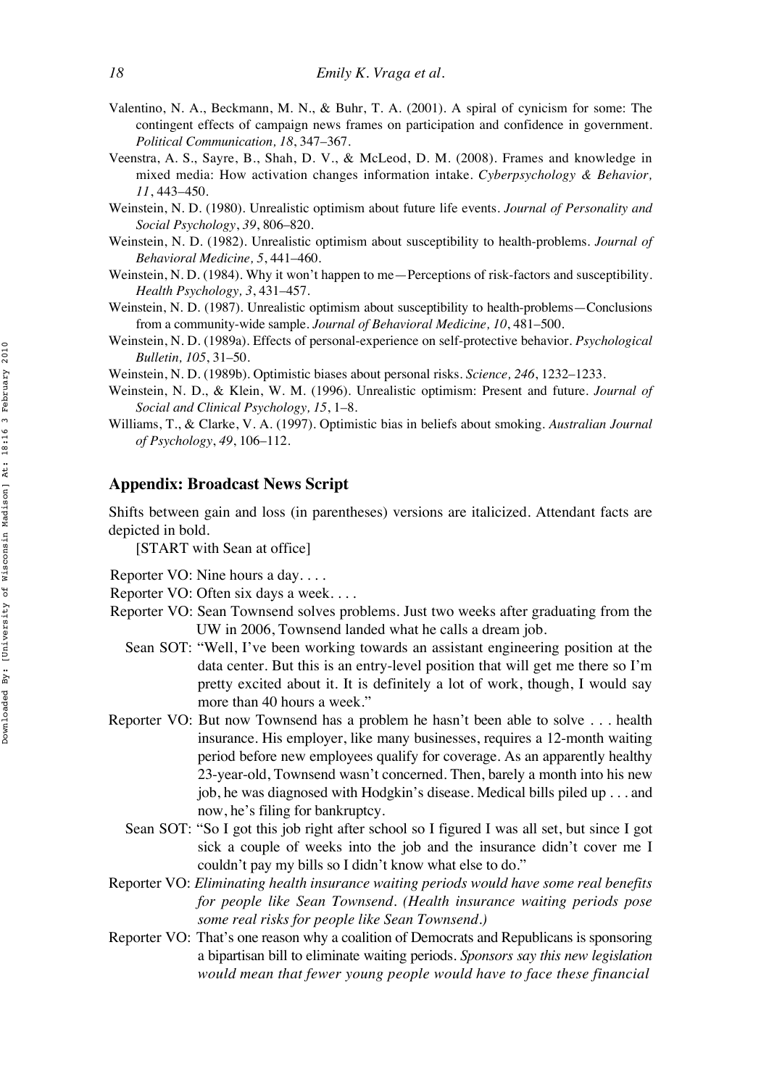- Valentino, N. A., Beckmann, M. N., & Buhr, T. A. (2001). A spiral of cynicism for some: The contingent effects of campaign news frames on participation and confidence in government. *Political Communication, 18*, 347–367.
- Veenstra, A. S., Sayre, B., Shah, D. V., & McLeod, D. M. (2008). Frames and knowledge in mixed media: How activation changes information intake. *Cyberpsychology & Behavior, 11*, 443–450.
- Weinstein, N. D. (1980). Unrealistic optimism about future life events. *Journal of Personality and Social Psychology*, *39*, 806–820.
- Weinstein, N. D. (1982). Unrealistic optimism about susceptibility to health-problems. *Journal of Behavioral Medicine, 5*, 441–460.
- Weinstein, N. D. (1984). Why it won't happen to me—Perceptions of risk-factors and susceptibility. *Health Psychology, 3*, 431–457.
- Weinstein, N. D. (1987). Unrealistic optimism about susceptibility to health-problems—Conclusions from a community-wide sample. *Journal of Behavioral Medicine, 10*, 481–500.
- Weinstein, N. D. (1989a). Effects of personal-experience on self-protective behavior. *Psychological Bulletin, 105*, 31–50.

Weinstein, N. D. (1989b). Optimistic biases about personal risks. *Science, 246*, 1232–1233.

- Weinstein, N. D., & Klein, W. M. (1996). Unrealistic optimism: Present and future. *Journal of Social and Clinical Psychology, 15*, 1–8.
- Williams, T., & Clarke, V. A. (1997). Optimistic bias in beliefs about smoking. *Australian Journal of Psychology*, *49*, 106–112.

#### **Appendix: Broadcast News Script**

Shifts between gain and loss (in parentheses) versions are italicized. Attendant facts are depicted in bold.

[START with Sean at office]

Reporter VO: Nine hours a day. . . .

- Reporter VO: Often six days a week. . . .
- Reporter VO: Sean Townsend solves problems. Just two weeks after graduating from the UW in 2006, Townsend landed what he calls a dream job.
	- Sean SOT: "Well, I've been working towards an assistant engineering position at the data center. But this is an entry-level position that will get me there so I'm pretty excited about it. It is definitely a lot of work, though, I would say more than 40 hours a week."
- Reporter VO: But now Townsend has a problem he hasn't been able to solve . . . health insurance. His employer, like many businesses, requires a 12-month waiting period before new employees qualify for coverage. As an apparently healthy 23-year-old, Townsend wasn't concerned. Then, barely a month into his new job, he was diagnosed with Hodgkin's disease. Medical bills piled up . . . and now, he's filing for bankruptcy.
	- Sean SOT: "So I got this job right after school so I figured I was all set, but since I got sick a couple of weeks into the job and the insurance didn't cover me I couldn't pay my bills so I didn't know what else to do."
- Reporter VO: *Eliminating health insurance waiting periods would have some real benefits for people like Sean Townsend. (Health insurance waiting periods pose some real risks for people like Sean Townsend.)*
- Reporter VO: That's one reason why a coalition of Democrats and Republicans is sponsoring a bipartisan bill to eliminate waiting periods. *Sponsors say this new legislation would mean that fewer young people would have to face these financial*